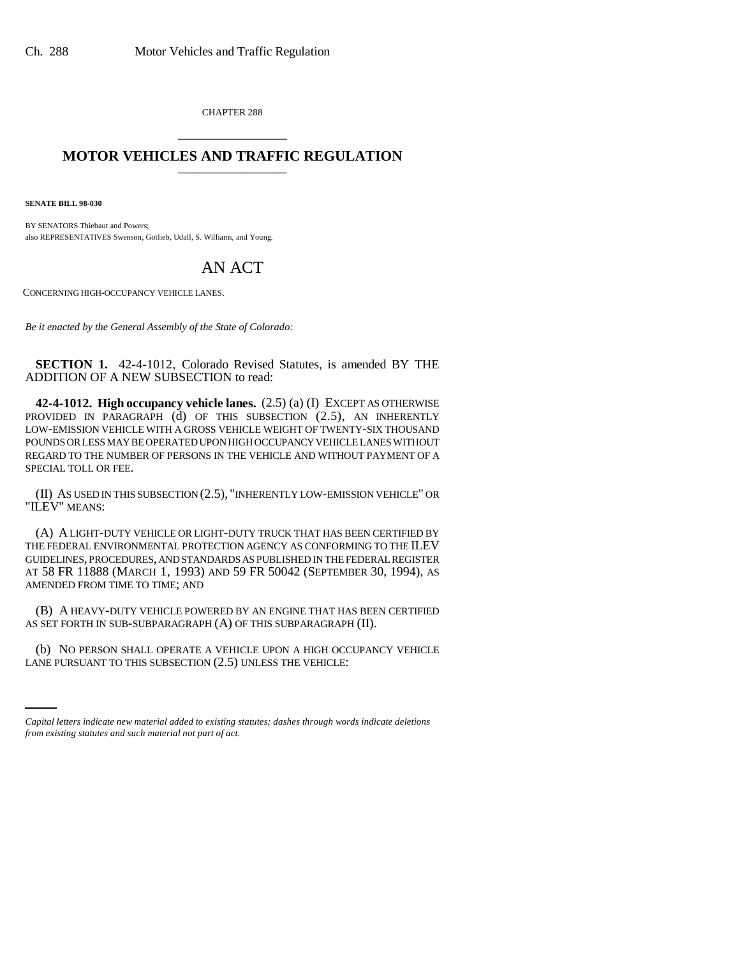CHAPTER 288 \_\_\_\_\_\_\_\_\_\_\_\_\_\_\_

## **MOTOR VEHICLES AND TRAFFIC REGULATION** \_\_\_\_\_\_\_\_\_\_\_\_\_\_\_

**SENATE BILL 98-030**

BY SENATORS Thiebaut and Powers; also REPRESENTATIVES Swenson, Gotlieb, Udall, S. Williams, and Young.

## AN ACT

CONCERNING HIGH-OCCUPANCY VEHICLE LANES.

*Be it enacted by the General Assembly of the State of Colorado:*

**SECTION 1.** 42-4-1012, Colorado Revised Statutes, is amended BY THE ADDITION OF A NEW SUBSECTION to read:

**42-4-1012. High occupancy vehicle lanes.** (2.5) (a) (I) EXCEPT AS OTHERWISE PROVIDED IN PARAGRAPH (d) OF THIS SUBSECTION (2.5), AN INHERENTLY LOW-EMISSION VEHICLE WITH A GROSS VEHICLE WEIGHT OF TWENTY-SIX THOUSAND POUNDS OR LESS MAY BE OPERATED UPON HIGH OCCUPANCY VEHICLE LANES WITHOUT REGARD TO THE NUMBER OF PERSONS IN THE VEHICLE AND WITHOUT PAYMENT OF A SPECIAL TOLL OR FEE.

(II) AS USED IN THIS SUBSECTION (2.5), "INHERENTLY LOW-EMISSION VEHICLE" OR "ILEV" MEANS:

(A) A LIGHT-DUTY VEHICLE OR LIGHT-DUTY TRUCK THAT HAS BEEN CERTIFIED BY THE FEDERAL ENVIRONMENTAL PROTECTION AGENCY AS CONFORMING TO THE ILEV GUIDELINES, PROCEDURES, AND STANDARDS AS PUBLISHED IN THE FEDERAL REGISTER AT 58 FR 11888 (MARCH 1, 1993) AND 59 FR 50042 (SEPTEMBER 30, 1994), AS AMENDED FROM TIME TO TIME; AND

(B) A HEAVY-DUTY VEHICLE POWERED BY AN ENGINE THAT HAS BEEN CERTIFIED AS SET FORTH IN SUB-SUBPARAGRAPH (A) OF THIS SUBPARAGRAPH (II).

(b) NO PERSON SHALL OPERATE A VEHICLE UPON A HIGH OCCUPANCY VEHICLE LANE PURSUANT TO THIS SUBSECTION (2.5) UNLESS THE VEHICLE:

*Capital letters indicate new material added to existing statutes; dashes through words indicate deletions from existing statutes and such material not part of act.*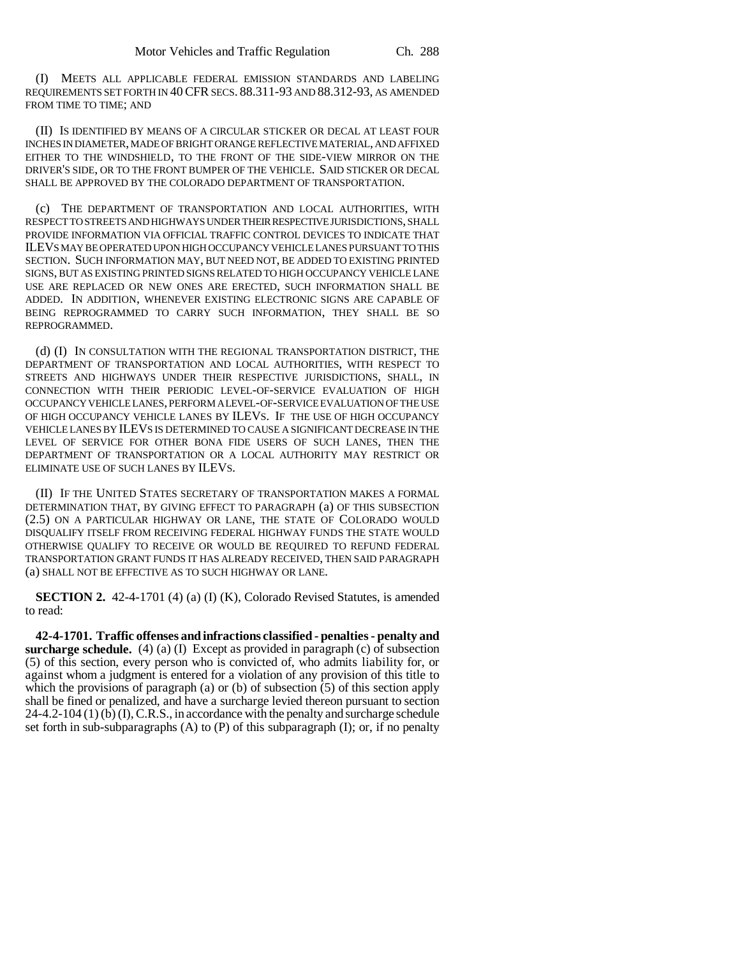(I) MEETS ALL APPLICABLE FEDERAL EMISSION STANDARDS AND LABELING REQUIREMENTS SET FORTH IN 40CFR SECS. 88.311-93 AND 88.312-93, AS AMENDED FROM TIME TO TIME; AND

(II) IS IDENTIFIED BY MEANS OF A CIRCULAR STICKER OR DECAL AT LEAST FOUR INCHES IN DIAMETER, MADE OF BRIGHT ORANGE REFLECTIVE MATERIAL, AND AFFIXED EITHER TO THE WINDSHIELD, TO THE FRONT OF THE SIDE-VIEW MIRROR ON THE DRIVER'S SIDE, OR TO THE FRONT BUMPER OF THE VEHICLE. SAID STICKER OR DECAL SHALL BE APPROVED BY THE COLORADO DEPARTMENT OF TRANSPORTATION.

(c) THE DEPARTMENT OF TRANSPORTATION AND LOCAL AUTHORITIES, WITH RESPECT TO STREETS AND HIGHWAYS UNDER THEIR RESPECTIVE JURISDICTIONS, SHALL PROVIDE INFORMATION VIA OFFICIAL TRAFFIC CONTROL DEVICES TO INDICATE THAT ILEVS MAY BE OPERATED UPON HIGH OCCUPANCY VEHICLE LANES PURSUANT TO THIS SECTION. SUCH INFORMATION MAY, BUT NEED NOT, BE ADDED TO EXISTING PRINTED SIGNS, BUT AS EXISTING PRINTED SIGNS RELATED TO HIGH OCCUPANCY VEHICLE LANE USE ARE REPLACED OR NEW ONES ARE ERECTED, SUCH INFORMATION SHALL BE ADDED. IN ADDITION, WHENEVER EXISTING ELECTRONIC SIGNS ARE CAPABLE OF BEING REPROGRAMMED TO CARRY SUCH INFORMATION, THEY SHALL BE SO REPROGRAMMED.

(d) (I) IN CONSULTATION WITH THE REGIONAL TRANSPORTATION DISTRICT, THE DEPARTMENT OF TRANSPORTATION AND LOCAL AUTHORITIES, WITH RESPECT TO STREETS AND HIGHWAYS UNDER THEIR RESPECTIVE JURISDICTIONS, SHALL, IN CONNECTION WITH THEIR PERIODIC LEVEL-OF-SERVICE EVALUATION OF HIGH OCCUPANCY VEHICLE LANES, PERFORM A LEVEL-OF-SERVICE EVALUATION OF THE USE OF HIGH OCCUPANCY VEHICLE LANES BY ILEVS. IF THE USE OF HIGH OCCUPANCY VEHICLE LANES BY ILEVS IS DETERMINED TO CAUSE A SIGNIFICANT DECREASE IN THE LEVEL OF SERVICE FOR OTHER BONA FIDE USERS OF SUCH LANES, THEN THE DEPARTMENT OF TRANSPORTATION OR A LOCAL AUTHORITY MAY RESTRICT OR ELIMINATE USE OF SUCH LANES BY ILEVS.

(II) IF THE UNITED STATES SECRETARY OF TRANSPORTATION MAKES A FORMAL DETERMINATION THAT, BY GIVING EFFECT TO PARAGRAPH (a) OF THIS SUBSECTION (2.5) ON A PARTICULAR HIGHWAY OR LANE, THE STATE OF COLORADO WOULD DISQUALIFY ITSELF FROM RECEIVING FEDERAL HIGHWAY FUNDS THE STATE WOULD OTHERWISE QUALIFY TO RECEIVE OR WOULD BE REQUIRED TO REFUND FEDERAL TRANSPORTATION GRANT FUNDS IT HAS ALREADY RECEIVED, THEN SAID PARAGRAPH (a) SHALL NOT BE EFFECTIVE AS TO SUCH HIGHWAY OR LANE.

**SECTION 2.** 42-4-1701 (4) (a) (I) (K), Colorado Revised Statutes, is amended to read:

**42-4-1701. Traffic offenses and infractions classified - penalties - penalty and surcharge schedule.** (4) (a) (I) Except as provided in paragraph (c) of subsection (5) of this section, every person who is convicted of, who admits liability for, or against whom a judgment is entered for a violation of any provision of this title to which the provisions of paragraph (a) or (b) of subsection  $(5)$  of this section apply shall be fined or penalized, and have a surcharge levied thereon pursuant to section  $24-4.2-104(1)$  (b) (I), C.R.S., in accordance with the penalty and surcharge schedule set forth in sub-subparagraphs  $(A)$  to  $(P)$  of this subparagraph  $(I)$ ; or, if no penalty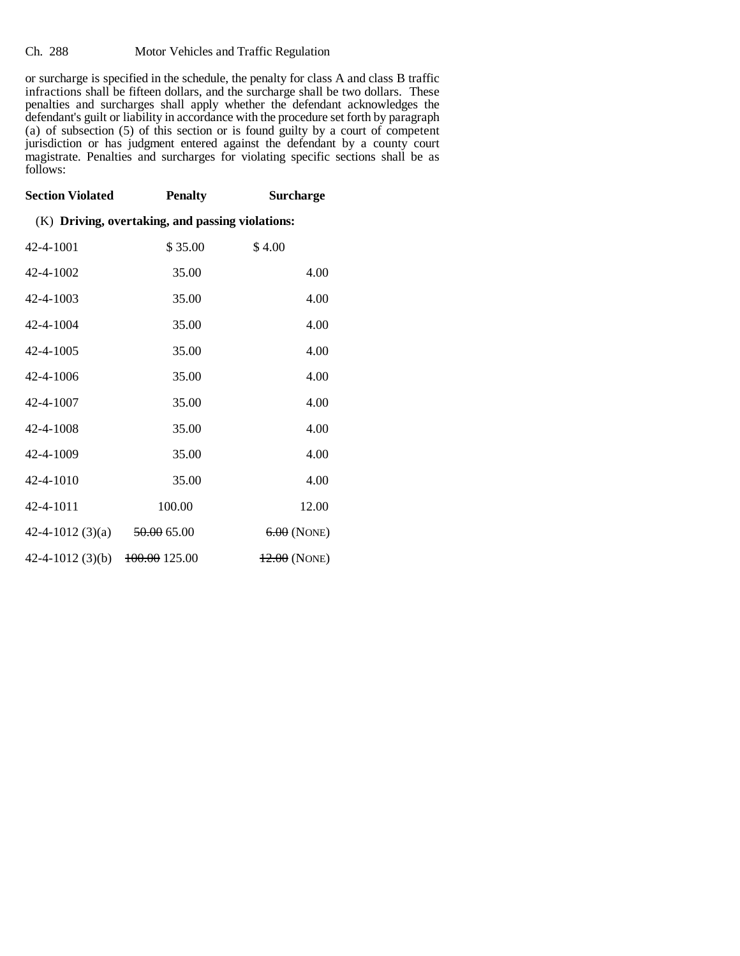## Ch. 288 Motor Vehicles and Traffic Regulation

or surcharge is specified in the schedule, the penalty for class A and class B traffic infractions shall be fifteen dollars, and the surcharge shall be two dollars. These penalties and surcharges shall apply whether the defendant acknowledges the defendant's guilt or liability in accordance with the procedure set forth by paragraph (a) of subsection (5) of this section or is found guilty by a court of competent jurisdiction or has judgment entered against the defendant by a county court magistrate. Penalties and surcharges for violating specific sections shall be as follows:

| <b>Section Violated</b>                          | <b>Penalty</b>           | <b>Surcharge</b> |
|--------------------------------------------------|--------------------------|------------------|
| (K) Driving, overtaking, and passing violations: |                          |                  |
| 42-4-1001                                        | \$35.00                  | \$4.00           |
| 42-4-1002                                        | 35.00                    | 4.00             |
| 42-4-1003                                        | 35.00                    | 4.00             |
| 42-4-1004                                        | 35.00                    | 4.00             |
| 42-4-1005                                        | 35.00                    | 4.00             |
| 42-4-1006                                        | 35.00                    | 4.00             |
| 42-4-1007                                        | 35.00                    | 4.00             |
| 42-4-1008                                        | 35.00                    | 4.00             |
| 42-4-1009                                        | 35.00                    | 4.00             |
| 42-4-1010                                        | 35.00                    | 4.00             |
| 42-4-1011                                        | 100.00                   | 12.00            |
| 42-4-1012 $(3)(a)$                               | <del>50.00</del> 65.00   | $6.00$ (NONE)    |
| $42 - 4 - 1012(3)(b)$                            | <del>100.00</del> 125.00 | $12.00$ (NONE)   |